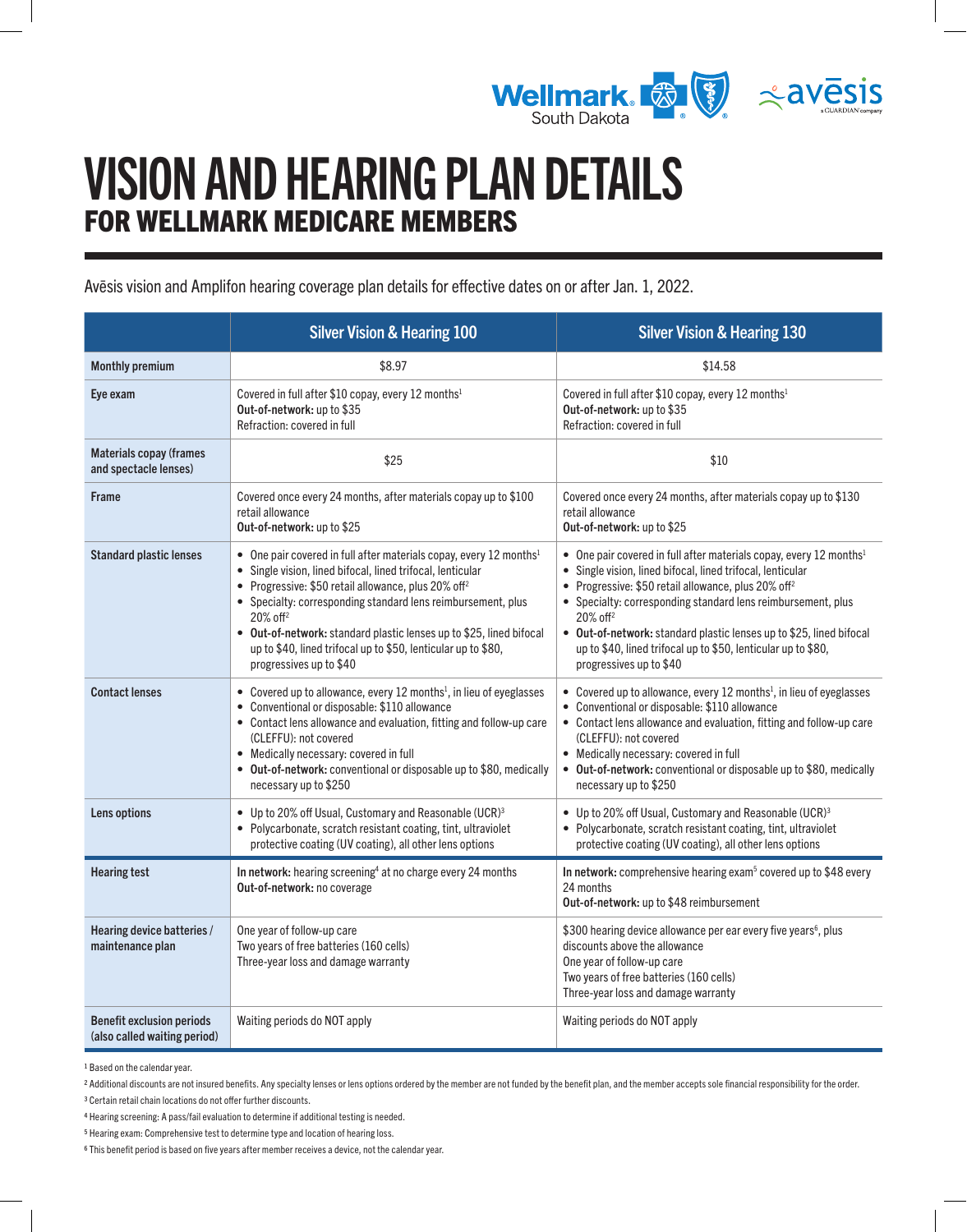

# VISION AND HEARING PLAN DETAILS FOR WELLMARK MEDICARE MEMBERS

Avēsis vision and Amplifon hearing coverage plan details for effective dates on or after Jan. 1, 2022.

|                                                                  | <b>Silver Vision &amp; Hearing 100</b>                                                                                                                                                                                                                                                                                                                                                                                                                                        | <b>Silver Vision &amp; Hearing 130</b>                                                                                                                                                                                                                                                                                                                                                                                                                                        |
|------------------------------------------------------------------|-------------------------------------------------------------------------------------------------------------------------------------------------------------------------------------------------------------------------------------------------------------------------------------------------------------------------------------------------------------------------------------------------------------------------------------------------------------------------------|-------------------------------------------------------------------------------------------------------------------------------------------------------------------------------------------------------------------------------------------------------------------------------------------------------------------------------------------------------------------------------------------------------------------------------------------------------------------------------|
| <b>Monthly premium</b>                                           | \$8.97                                                                                                                                                                                                                                                                                                                                                                                                                                                                        | \$14.58                                                                                                                                                                                                                                                                                                                                                                                                                                                                       |
| Eye exam                                                         | Covered in full after \$10 copay, every 12 months <sup>1</sup><br>Out-of-network: up to \$35<br>Refraction: covered in full                                                                                                                                                                                                                                                                                                                                                   | Covered in full after \$10 copay, every 12 months <sup>1</sup><br>Out-of-network: up to \$35<br>Refraction: covered in full                                                                                                                                                                                                                                                                                                                                                   |
| <b>Materials copay (frames</b><br>and spectacle lenses)          | \$25                                                                                                                                                                                                                                                                                                                                                                                                                                                                          | \$10                                                                                                                                                                                                                                                                                                                                                                                                                                                                          |
| <b>Frame</b>                                                     | Covered once every 24 months, after materials copay up to \$100<br>retail allowance<br>Out-of-network: up to \$25                                                                                                                                                                                                                                                                                                                                                             | Covered once every 24 months, after materials copay up to \$130<br>retail allowance<br>Out-of-network: up to \$25                                                                                                                                                                                                                                                                                                                                                             |
| <b>Standard plastic lenses</b>                                   | • One pair covered in full after materials copay, every 12 months <sup>1</sup><br>• Single vision, lined bifocal, lined trifocal, lenticular<br>• Progressive: \$50 retail allowance, plus 20% off <sup>2</sup><br>• Specialty: corresponding standard lens reimbursement, plus<br>$20\%$ off <sup>2</sup><br>• Out-of-network: standard plastic lenses up to \$25, lined bifocal<br>up to \$40, lined trifocal up to \$50, lenticular up to \$80,<br>progressives up to \$40 | • One pair covered in full after materials copay, every 12 months <sup>1</sup><br>• Single vision, lined bifocal, lined trifocal, lenticular<br>• Progressive: \$50 retail allowance, plus 20% off <sup>2</sup><br>• Specialty: corresponding standard lens reimbursement, plus<br>$20\%$ off <sup>2</sup><br>• Out-of-network: standard plastic lenses up to \$25, lined bifocal<br>up to \$40, lined trifocal up to \$50, lenticular up to \$80,<br>progressives up to \$40 |
| <b>Contact lenses</b>                                            | • Covered up to allowance, every 12 months <sup>1</sup> , in lieu of eyeglasses<br>• Conventional or disposable: \$110 allowance<br>• Contact lens allowance and evaluation, fitting and follow-up care<br>(CLEFFU): not covered<br>• Medically necessary: covered in full<br>• Out-of-network: conventional or disposable up to \$80, medically<br>necessary up to \$250                                                                                                     | • Covered up to allowance, every 12 months <sup>1</sup> , in lieu of eyeglasses<br>• Conventional or disposable: \$110 allowance<br>• Contact lens allowance and evaluation, fitting and follow-up care<br>(CLEFFU): not covered<br>• Medically necessary: covered in full<br>• Out-of-network: conventional or disposable up to \$80, medically<br>necessary up to \$250                                                                                                     |
| Lens options                                                     | • Up to 20% off Usual, Customary and Reasonable (UCR) <sup>3</sup><br>• Polycarbonate, scratch resistant coating, tint, ultraviolet<br>protective coating (UV coating), all other lens options                                                                                                                                                                                                                                                                                | • Up to 20% off Usual, Customary and Reasonable (UCR) <sup>3</sup><br>• Polycarbonate, scratch resistant coating, tint, ultraviolet<br>protective coating (UV coating), all other lens options                                                                                                                                                                                                                                                                                |
| <b>Hearing test</b>                                              | In network: hearing screening <sup>4</sup> at no charge every 24 months<br>Out-of-network: no coverage                                                                                                                                                                                                                                                                                                                                                                        | In network: comprehensive hearing exam <sup>5</sup> covered up to \$48 every<br>24 months<br>Out-of-network: up to \$48 reimbursement                                                                                                                                                                                                                                                                                                                                         |
| Hearing device batteries /<br>maintenance plan                   | One year of follow-up care<br>Two years of free batteries (160 cells)<br>Three-year loss and damage warranty                                                                                                                                                                                                                                                                                                                                                                  | \$300 hearing device allowance per ear every five years <sup>6</sup> , plus<br>discounts above the allowance<br>One year of follow-up care<br>Two years of free batteries (160 cells)<br>Three-year loss and damage warranty                                                                                                                                                                                                                                                  |
| <b>Benefit exclusion periods</b><br>(also called waiting period) | Waiting periods do NOT apply                                                                                                                                                                                                                                                                                                                                                                                                                                                  | Waiting periods do NOT apply                                                                                                                                                                                                                                                                                                                                                                                                                                                  |

<span id="page-0-0"></span>1 Based on the calendar year.

<span id="page-0-2"></span>3 Certain retail chain locations do not offer further discounts.

<span id="page-0-1"></span><sup>2</sup> Additional discounts are not insured benefits. Any specialty lenses or lens options ordered by the member are not funded by the benefit plan, and the member accepts sole financial responsibility for the order.

<span id="page-0-3"></span><sup>4</sup> Hearing screening: A pass/fail evaluation to determine if additional testing is needed.

<span id="page-0-4"></span><sup>5</sup> Hearing exam: Comprehensive test to determine type and location of hearing loss.

<span id="page-0-5"></span><sup>6</sup> This benefit period is based on five years after member receives a device, not the calendar year.